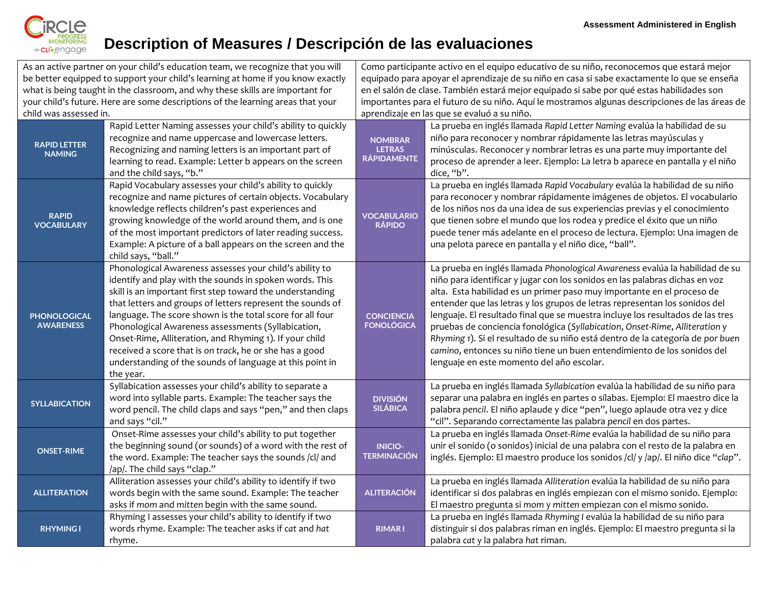

## **Description of Measures / Descripción de las evaluaciones**

|                                                                                 | As an active partner on your child's education team, we recognize that you will                                                                                                                                                                                                                                                                                                                                                                                                                                                                                 |                                                                                             | Como participante activo en el equipo educativo de su niño, reconocemos que estará mejor                                                                                                                                                                                                                                                                                                                                                                                                                                                                                                                                                                                                       |  |
|---------------------------------------------------------------------------------|-----------------------------------------------------------------------------------------------------------------------------------------------------------------------------------------------------------------------------------------------------------------------------------------------------------------------------------------------------------------------------------------------------------------------------------------------------------------------------------------------------------------------------------------------------------------|---------------------------------------------------------------------------------------------|------------------------------------------------------------------------------------------------------------------------------------------------------------------------------------------------------------------------------------------------------------------------------------------------------------------------------------------------------------------------------------------------------------------------------------------------------------------------------------------------------------------------------------------------------------------------------------------------------------------------------------------------------------------------------------------------|--|
| be better equipped to support your child's learning at home if you know exactly |                                                                                                                                                                                                                                                                                                                                                                                                                                                                                                                                                                 | equipado para apoyar el aprendizaje de su niño en casa si sabe exactamente lo que se enseña |                                                                                                                                                                                                                                                                                                                                                                                                                                                                                                                                                                                                                                                                                                |  |
| what is being taught in the classroom, and why these skills are important for   |                                                                                                                                                                                                                                                                                                                                                                                                                                                                                                                                                                 | en el salón de clase. También estará mejor equipado si sabe por qué estas habilidades son   |                                                                                                                                                                                                                                                                                                                                                                                                                                                                                                                                                                                                                                                                                                |  |
| your child's future. Here are some descriptions of the learning areas that your |                                                                                                                                                                                                                                                                                                                                                                                                                                                                                                                                                                 |                                                                                             | importantes para el futuro de su niño. Aquí le mostramos algunas descripciones de las áreas de                                                                                                                                                                                                                                                                                                                                                                                                                                                                                                                                                                                                 |  |
| child was assessed in.                                                          |                                                                                                                                                                                                                                                                                                                                                                                                                                                                                                                                                                 |                                                                                             | aprendizaje en las que se evaluó a su niño.                                                                                                                                                                                                                                                                                                                                                                                                                                                                                                                                                                                                                                                    |  |
| <b>RAPID LETTER</b><br><b>NAMING</b>                                            | Rapid Letter Naming assesses your child's ability to quickly<br>recognize and name uppercase and lowercase letters.<br>Recognizing and naming letters is an important part of<br>learning to read. Example: Letter b appears on the screen<br>and the child says, "b."                                                                                                                                                                                                                                                                                          | <b>NOMBRAR</b><br><b>LETRAS</b><br><b>RÁPIDAMENTE</b>                                       | La prueba en inglés llamada Rapid Letter Naming evalúa la habilidad de su<br>niño para reconocer y nombrar rápidamente las letras mayúsculas y<br>minúsculas. Reconocer y nombrar letras es una parte muy importante del<br>proceso de aprender a leer. Ejemplo: La letra b aparece en pantalla y el niño<br>dice, "b".                                                                                                                                                                                                                                                                                                                                                                        |  |
| <b>RAPID</b><br><b>VOCABULARY</b>                                               | Rapid Vocabulary assesses your child's ability to quickly<br>recognize and name pictures of certain objects. Vocabulary<br>knowledge reflects children's past experiences and<br>growing knowledge of the world around them, and is one<br>of the most important predictors of later reading success.<br>Example: A picture of a ball appears on the screen and the<br>child says, "ball."                                                                                                                                                                      | <b>VOCABULARIO</b><br><b>RÁPIDO</b>                                                         | La prueba en inglés llamada Rapid Vocabulary evalúa la habilidad de su niño<br>para reconocer y nombrar rápidamente imágenes de objetos. El vocabulario<br>de los niños nos da una idea de sus experiencias previas y el conocimiento<br>que tienen sobre el mundo que los rodea y predice el éxito que un niño<br>puede tener más adelante en el proceso de lectura. Ejemplo: Una imagen de<br>una pelota parece en pantalla y el niño dice, "ball".                                                                                                                                                                                                                                          |  |
| <b>PHONOLOGICAL</b><br><b>AWARENESS</b>                                         | Phonological Awareness assesses your child's ability to<br>identify and play with the sounds in spoken words. This<br>skill is an important first step toward the understanding<br>that letters and groups of letters represent the sounds of<br>language. The score shown is the total score for all four<br>Phonological Awareness assessments (Syllabication,<br>Onset-Rime, Alliteration, and Rhyming 1). If your child<br>received a score that is on track, he or she has a good<br>understanding of the sounds of language at this point in<br>the year. | <b>CONCIENCIA</b><br><b>FONOLÓGICA</b>                                                      | La prueba en inglés llamada Phonological Awareness evalúa la habilidad de su<br>niño para identificar y jugar con los sonidos en las palabras dichas en voz<br>alta. Esta habilidad es un primer paso muy importante en el proceso de<br>entender que las letras y los grupos de letras representan los sonidos del<br>lenguaje. El resultado final que se muestra incluye los resultados de las tres<br>pruebas de conciencia fonológica (Syllabication, Onset-Rime, Alliteration y<br>Rhyming 1). Si el resultado de su niño está dentro de la categoría de por buen<br>camino, entonces su niño tiene un buen entendimiento de los sonidos del<br>lenguaje en este momento del año escolar. |  |
| <b>SYLLABICATION</b>                                                            | Syllabication assesses your child's ability to separate a<br>word into syllable parts. Example: The teacher says the<br>word pencil. The child claps and says "pen," and then claps<br>and says "cil."                                                                                                                                                                                                                                                                                                                                                          | <b>DIVISIÓN</b><br><b>SILÁBICA</b>                                                          | La prueba en inglés llamada Syllabication evalúa la habilidad de su niño para<br>separar una palabra en inglés en partes o sílabas. Ejemplo: El maestro dice la<br>palabra pencil. El niño aplaude y dice "pen", luego aplaude otra vez y dice<br>"cil". Separando correctamente las palabra pencil en dos partes.                                                                                                                                                                                                                                                                                                                                                                             |  |
| <b>ONSET-RIME</b>                                                               | Onset-Rime assesses your child's ability to put together<br>the beginning sound (or sounds) of a word with the rest of<br>the word. Example: The teacher says the sounds /cl/ and<br>/ap/. The child says "clap."                                                                                                                                                                                                                                                                                                                                               | <b>INICIO-</b><br><b>TERMINACIÓN</b>                                                        | La prueba en inglés llamada Onset-Rime evalúa la habilidad de su niño para<br>unir el sonido (o sonidos) inicial de una palabra con el resto de la palabra en<br>inglés. Ejemplo: El maestro produce los sonidos /cl/ y /ap/. El niño dice "clap".                                                                                                                                                                                                                                                                                                                                                                                                                                             |  |
| <b>ALLITERATION</b>                                                             | Alliteration assesses your child's ability to identify if two<br>words begin with the same sound. Example: The teacher<br>asks if mom and mitten begin with the same sound.                                                                                                                                                                                                                                                                                                                                                                                     | <b>ALITERACIÓN</b>                                                                          | La prueba en inglés llamada Alliteration evalúa la habilidad de su niño para<br>identificar si dos palabras en inglés empiezan con el mismo sonido. Ejemplo:<br>El maestro pregunta si mom y mitten empiezan con el mismo sonido.                                                                                                                                                                                                                                                                                                                                                                                                                                                              |  |
| <b>RHYMING1</b>                                                                 | Rhyming I assesses your child's ability to identify if two<br>words rhyme. Example: The teacher asks if cat and hat<br>rhyme.                                                                                                                                                                                                                                                                                                                                                                                                                                   | <b>RIMARI</b>                                                                               | La prueba en inglés llamada Rhyming I evalúa la habilidad de su niño para<br>distinguir si dos palabras riman en inglés. Ejemplo: El maestro pregunta si la<br>palabra cat y la palabra hat riman.                                                                                                                                                                                                                                                                                                                                                                                                                                                                                             |  |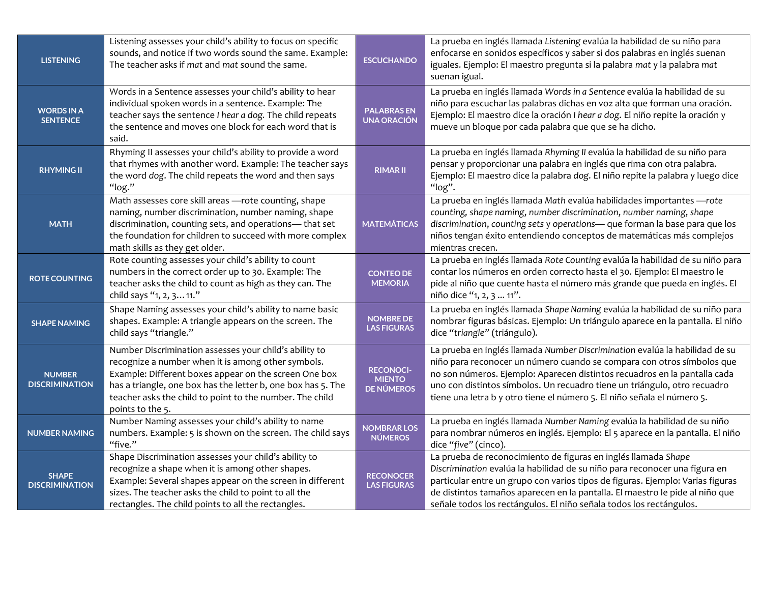| <b>LISTENING</b>                       | Listening assesses your child's ability to focus on specific<br>sounds, and notice if two words sound the same. Example:<br>The teacher asks if mat and mat sound the same.                                                                                                                                           | <b>ESCUCHANDO</b>                                      | La prueba en inglés llamada Listening evalúa la habilidad de su niño para<br>enfocarse en sonidos específicos y saber si dos palabras en inglés suenan<br>iguales. Ejemplo: El maestro pregunta si la palabra mat y la palabra mat<br>suenan igual.                                                                                                                                        |
|----------------------------------------|-----------------------------------------------------------------------------------------------------------------------------------------------------------------------------------------------------------------------------------------------------------------------------------------------------------------------|--------------------------------------------------------|--------------------------------------------------------------------------------------------------------------------------------------------------------------------------------------------------------------------------------------------------------------------------------------------------------------------------------------------------------------------------------------------|
| <b>WORDS IN A</b><br><b>SENTENCE</b>   | Words in a Sentence assesses your child's ability to hear<br>individual spoken words in a sentence. Example: The<br>teacher says the sentence I hear a dog. The child repeats<br>the sentence and moves one block for each word that is<br>said.                                                                      | <b>PALABRASEN</b><br><b>UNA ORACIÓN</b>                | La prueba en inglés llamada Words in a Sentence evalúa la habilidad de su<br>niño para escuchar las palabras dichas en voz alta que forman una oración.<br>Ejemplo: El maestro dice la oración I hear a dog. El niño repite la oración y<br>mueve un bloque por cada palabra que que se ha dicho.                                                                                          |
| <b>RHYMING II</b>                      | Rhyming II assesses your child's ability to provide a word<br>that rhymes with another word. Example: The teacher says<br>the word dog. The child repeats the word and then says<br>"log."                                                                                                                            | <b>RIMAR II</b>                                        | La prueba en inglés llamada Rhyming II evalúa la habilidad de su niño para<br>pensar y proporcionar una palabra en inglés que rima con otra palabra.<br>Ejemplo: El maestro dice la palabra dog. El niño repite la palabra y luego dice<br>"log".                                                                                                                                          |
| <b>MATH</b>                            | Math assesses core skill areas - rote counting, shape<br>naming, number discrimination, number naming, shape<br>discrimination, counting sets, and operations- that set<br>the foundation for children to succeed with more complex<br>math skills as they get older.                                                 | <b>MATEMÁTICAS</b>                                     | La prueba en inglés llamada Math evalúa habilidades importantes - rote<br>counting, shape naming, number discrimination, number naming, shape<br>discrimination, counting sets y operations- que forman la base para que los<br>niños tengan éxito entendiendo conceptos de matemáticas más complejos<br>mientras crecen.                                                                  |
| <b>ROTE COUNTING</b>                   | Rote counting assesses your child's ability to count<br>numbers in the correct order up to 30. Example: The<br>teacher asks the child to count as high as they can. The<br>child says "1, 2, 3 11."                                                                                                                   | <b>CONTEO DE</b><br><b>MEMORIA</b>                     | La prueba en inglés llamada Rote Counting evalúa la habilidad de su niño para<br>contar los números en orden correcto hasta el 30. Ejemplo: El maestro le<br>pide al niño que cuente hasta el número más grande que pueda en inglés. El<br>niño dice "1, 2, 3  11".                                                                                                                        |
| <b>SHAPE NAMING</b>                    | Shape Naming assesses your child's ability to name basic<br>shapes. Example: A triangle appears on the screen. The<br>child says "triangle."                                                                                                                                                                          | <b>NOMBRE DE</b><br><b>LAS FIGURAS</b>                 | La prueba en inglés llamada Shape Naming evalúa la habilidad de su niño para<br>nombrar figuras básicas. Ejemplo: Un triángulo aparece en la pantalla. El niño<br>dice "triangle" (triángulo).                                                                                                                                                                                             |
| <b>NUMBER</b><br><b>DISCRIMINATION</b> | Number Discrimination assesses your child's ability to<br>recognize a number when it is among other symbols.<br>Example: Different boxes appear on the screen One box<br>has a triangle, one box has the letter b, one box has 5. The<br>teacher asks the child to point to the number. The child<br>points to the 5. | <b>RECONOCI-</b><br><b>MIENTO</b><br><b>DE NÚMEROS</b> | La prueba en inglés llamada Number Discrimination evalúa la habilidad de su<br>niño para reconocer un número cuando se compara con otros símbolos que<br>no son números. Ejemplo: Aparecen distintos recuadros en la pantalla cada<br>uno con distintos símbolos. Un recuadro tiene un triángulo, otro recuadro<br>tiene una letra b y otro tiene el número 5. El niño señala el número 5. |
| <b>NUMBER NAMING</b>                   | Number Naming assesses your child's ability to name<br>numbers. Example: 5 is shown on the screen. The child says<br>"five."                                                                                                                                                                                          | <b>NOMBRAR LOS</b><br><b>NÚMEROS</b>                   | La prueba en inglés llamada Number Naming evalúa la habilidad de su niño<br>para nombrar números en inglés. Ejemplo: El 5 aparece en la pantalla. El niño<br>dice "five" (cinco).                                                                                                                                                                                                          |
| <b>SHAPE</b><br><b>DISCRIMINATION</b>  | Shape Discrimination assesses your child's ability to<br>recognize a shape when it is among other shapes.<br>Example: Several shapes appear on the screen in different<br>sizes. The teacher asks the child to point to all the<br>rectangles. The child points to all the rectangles.                                | <b>RECONOCER</b><br><b>LAS FIGURAS</b>                 | La prueba de reconocimiento de figuras en inglés llamada Shape<br>Discrimination evalúa la habilidad de su niño para reconocer una figura en<br>particular entre un grupo con varios tipos de figuras. Ejemplo: Varias figuras<br>de distintos tamaños aparecen en la pantalla. El maestro le pide al niño que<br>señale todos los rectángulos. El niño señala todos los rectángulos.      |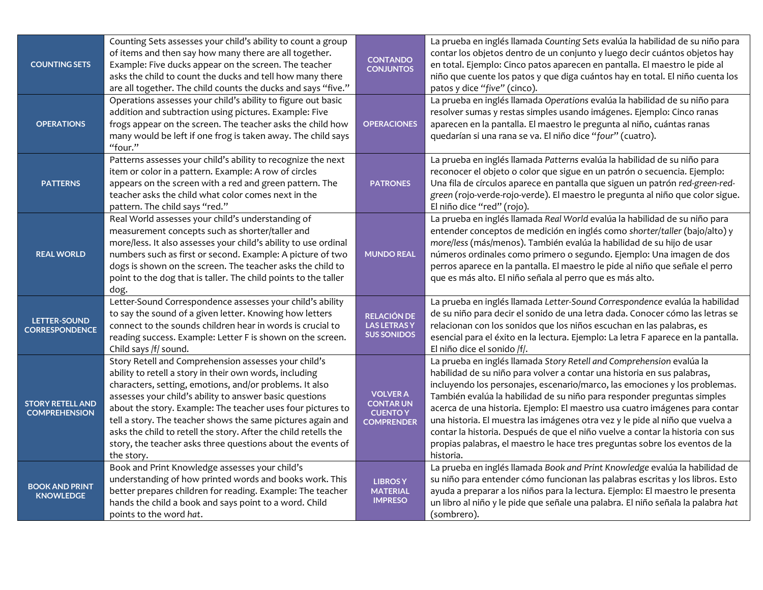| <b>COUNTING SETS</b><br><b>OPERATIONS</b>       | Counting Sets assesses your child's ability to count a group<br>of items and then say how many there are all together.<br>Example: Five ducks appear on the screen. The teacher<br>asks the child to count the ducks and tell how many there<br>are all together. The child counts the ducks and says "five."<br>Operations assesses your child's ability to figure out basic<br>addition and subtraction using pictures. Example: Five<br>frogs appear on the screen. The teacher asks the child how               | <b>CONTANDO</b><br><b>CONJUNTOS</b><br><b>OPERACIONES</b>                  | La prueba en inglés llamada Counting Sets evalúa la habilidad de su niño para<br>contar los objetos dentro de un conjunto y luego decir cuántos objetos hay<br>en total. Ejemplo: Cinco patos aparecen en pantalla. El maestro le pide al<br>niño que cuente los patos y que diga cuántos hay en total. El niño cuenta los<br>patos y dice "five" (cinco).<br>La prueba en inglés llamada Operations evalúa la habilidad de su niño para<br>resolver sumas y restas simples usando imágenes. Ejemplo: Cinco ranas<br>aparecen en la pantalla. El maestro le pregunta al niño, cuántas ranas                                                            |
|-------------------------------------------------|---------------------------------------------------------------------------------------------------------------------------------------------------------------------------------------------------------------------------------------------------------------------------------------------------------------------------------------------------------------------------------------------------------------------------------------------------------------------------------------------------------------------|----------------------------------------------------------------------------|--------------------------------------------------------------------------------------------------------------------------------------------------------------------------------------------------------------------------------------------------------------------------------------------------------------------------------------------------------------------------------------------------------------------------------------------------------------------------------------------------------------------------------------------------------------------------------------------------------------------------------------------------------|
|                                                 | many would be left if one frog is taken away. The child says<br>"four."<br>Patterns assesses your child's ability to recognize the next                                                                                                                                                                                                                                                                                                                                                                             |                                                                            | quedarían si una rana se va. El niño dice "four" (cuatro).<br>La prueba en inglés llamada Patterns evalúa la habilidad de su niño para                                                                                                                                                                                                                                                                                                                                                                                                                                                                                                                 |
| <b>PATTERNS</b>                                 | item or color in a pattern. Example: A row of circles<br>appears on the screen with a red and green pattern. The<br>teacher asks the child what color comes next in the<br>pattern. The child says "red."                                                                                                                                                                                                                                                                                                           | <b>PATRONES</b>                                                            | reconocer el objeto o color que sigue en un patrón o secuencia. Ejemplo:<br>Una fila de círculos aparece en pantalla que siguen un patrón red-green-red-<br>green (rojo-verde-rojo-verde). El maestro le pregunta al niño que color sigue.<br>El niño dice "red" (rojo).                                                                                                                                                                                                                                                                                                                                                                               |
| <b>REAL WORLD</b>                               | Real World assesses your child's understanding of<br>measurement concepts such as shorter/taller and<br>more/less. It also assesses your child's ability to use ordinal<br>numbers such as first or second. Example: A picture of two<br>dogs is shown on the screen. The teacher asks the child to<br>point to the dog that is taller. The child points to the taller<br>dog.                                                                                                                                      | <b>MUNDO REAL</b>                                                          | La prueba en inglés llamada Real World evalúa la habilidad de su niño para<br>entender conceptos de medición en inglés como shorter/taller (bajo/alto) y<br>more/less (más/menos). También evalúa la habilidad de su hijo de usar<br>números ordinales como primero o segundo. Ejemplo: Una imagen de dos<br>perros aparece en la pantalla. El maestro le pide al niño que señale el perro<br>que es más alto. El niño señala al perro que es más alto.                                                                                                                                                                                                |
| <b>LETTER-SOUND</b><br><b>CORRESPONDENCE</b>    | Letter-Sound Correspondence assesses your child's ability<br>to say the sound of a given letter. Knowing how letters<br>connect to the sounds children hear in words is crucial to<br>reading success. Example: Letter F is shown on the screen.<br>Child says /f/ sound.                                                                                                                                                                                                                                           | <b>RELACIÓN DE</b><br><b>LAS LETRASY</b><br><b>SUS SONIDOS</b>             | La prueba en inglés llamada Letter-Sound Correspondence evalúa la habilidad<br>de su niño para decir el sonido de una letra dada. Conocer cómo las letras se<br>relacionan con los sonidos que los niños escuchan en las palabras, es<br>esencial para el éxito en la lectura. Ejemplo: La letra F aparece en la pantalla.<br>El niño dice el sonido /f/.                                                                                                                                                                                                                                                                                              |
| <b>STORY RETELL AND</b><br><b>COMPREHENSION</b> | Story Retell and Comprehension assesses your child's<br>ability to retell a story in their own words, including<br>characters, setting, emotions, and/or problems. It also<br>assesses your child's ability to answer basic questions<br>about the story. Example: The teacher uses four pictures to<br>tell a story. The teacher shows the same pictures again and<br>asks the child to retell the story. After the child retells the<br>story, the teacher asks three questions about the events of<br>the story. | <b>VOLVER A</b><br><b>CONTARUN</b><br><b>CUENTO Y</b><br><b>COMPRENDER</b> | La prueba en inglés llamada Story Retell and Comprehension evalúa la<br>habilidad de su niño para volver a contar una historia en sus palabras,<br>incluyendo los personajes, escenario/marco, las emociones y los problemas.<br>También evalúa la habilidad de su niño para responder preguntas simples<br>acerca de una historia. Ejemplo: El maestro usa cuatro imágenes para contar<br>una historia. El muestra las imágenes otra vez y le pide al niño que vuelva a<br>contar la historia. Después de que el niño vuelve a contar la historia con sus<br>propias palabras, el maestro le hace tres preguntas sobre los eventos de la<br>historia. |
| <b>BOOK AND PRINT</b><br><b>KNOWLEDGE</b>       | Book and Print Knowledge assesses your child's<br>understanding of how printed words and books work. This<br>better prepares children for reading. Example: The teacher<br>hands the child a book and says point to a word. Child<br>points to the word hat.                                                                                                                                                                                                                                                        | <b>LIBROSY</b><br><b>MATERIAL</b><br><b>IMPRESO</b>                        | La prueba en inglés llamada Book and Print Knowledge evalúa la habilidad de<br>su niño para entender cómo funcionan las palabras escritas y los libros. Esto<br>ayuda a preparar a los niños para la lectura. Ejemplo: El maestro le presenta<br>un libro al niño y le pide que señale una palabra. El niño señala la palabra hat<br>(sombrero).                                                                                                                                                                                                                                                                                                       |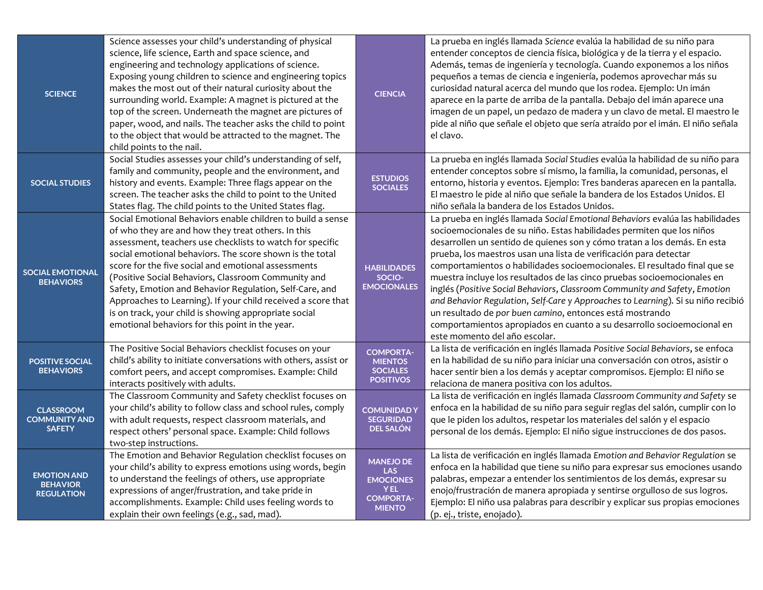| <b>SCIENCE</b>                                             | Science assesses your child's understanding of physical<br>science, life science, Earth and space science, and<br>engineering and technology applications of science.<br>Exposing young children to science and engineering topics<br>makes the most out of their natural curiosity about the<br>surrounding world. Example: A magnet is pictured at the<br>top of the screen. Underneath the magnet are pictures of<br>paper, wood, and nails. The teacher asks the child to point<br>to the object that would be attracted to the magnet. The<br>child points to the nail.                    | <b>CIENCIA</b>                                                                                 | La prueba en inglés llamada Science evalúa la habilidad de su niño para<br>entender conceptos de ciencia física, biológica y de la tierra y el espacio.<br>Además, temas de ingeniería y tecnología. Cuando exponemos a los niños<br>pequeños a temas de ciencia e ingeniería, podemos aprovechar más su<br>curiosidad natural acerca del mundo que los rodea. Ejemplo: Un imán<br>aparece en la parte de arriba de la pantalla. Debajo del imán aparece una<br>imagen de un papel, un pedazo de madera y un clavo de metal. El maestro le<br>pide al niño que señale el objeto que sería atraído por el imán. El niño señala<br>el clavo.                                                                                                                                                               |
|------------------------------------------------------------|-------------------------------------------------------------------------------------------------------------------------------------------------------------------------------------------------------------------------------------------------------------------------------------------------------------------------------------------------------------------------------------------------------------------------------------------------------------------------------------------------------------------------------------------------------------------------------------------------|------------------------------------------------------------------------------------------------|----------------------------------------------------------------------------------------------------------------------------------------------------------------------------------------------------------------------------------------------------------------------------------------------------------------------------------------------------------------------------------------------------------------------------------------------------------------------------------------------------------------------------------------------------------------------------------------------------------------------------------------------------------------------------------------------------------------------------------------------------------------------------------------------------------|
| <b>SOCIAL STUDIES</b>                                      | Social Studies assesses your child's understanding of self,<br>family and community, people and the environment, and<br>history and events. Example: Three flags appear on the<br>screen. The teacher asks the child to point to the United<br>States flag. The child points to the United States flag.                                                                                                                                                                                                                                                                                         | <b>ESTUDIOS</b><br><b>SOCIALES</b>                                                             | La prueba en inglés llamada Social Studies evalúa la habilidad de su niño para<br>entender conceptos sobre sí mismo, la familia, la comunidad, personas, el<br>entorno, historia y eventos. Ejemplo: Tres banderas aparecen en la pantalla.<br>El maestro le pide al niño que señale la bandera de los Estados Unidos. El<br>niño señala la bandera de los Estados Unidos.                                                                                                                                                                                                                                                                                                                                                                                                                               |
| <b>SOCIAL EMOTIONAL</b><br><b>BEHAVIORS</b>                | Social Emotional Behaviors enable children to build a sense<br>of who they are and how they treat others. In this<br>assessment, teachers use checklists to watch for specific<br>social emotional behaviors. The score shown is the total<br>score for the five social and emotional assessments<br>(Positive Social Behaviors, Classroom Community and<br>Safety, Emotion and Behavior Regulation, Self-Care, and<br>Approaches to Learning). If your child received a score that<br>is on track, your child is showing appropriate social<br>emotional behaviors for this point in the year. | <b>HABILIDADES</b><br>SOCIO-<br><b>EMOCIONALES</b>                                             | La prueba en inglés llamada Social Emotional Behaviors evalúa las habilidades<br>socioemocionales de su niño. Estas habilidades permiten que los niños<br>desarrollen un sentido de quienes son y cómo tratan a los demás. En esta<br>prueba, los maestros usan una lista de verificación para detectar<br>comportamientos o habilidades socioemocionales. El resultado final que se<br>muestra incluye los resultados de las cinco pruebas socioemocionales en<br>inglés (Positive Social Behaviors, Classroom Community and Safety, Emotion<br>and Behavior Regulation, Self-Care y Approaches to Learning). Si su niño recibió<br>un resultado de por buen camino, entonces está mostrando<br>comportamientos apropiados en cuanto a su desarrollo socioemocional en<br>este momento del año escolar. |
| <b>POSITIVE SOCIAL</b><br><b>BEHAVIORS</b>                 | The Positive Social Behaviors checklist focuses on your<br>child's ability to initiate conversations with others, assist or<br>comfort peers, and accept compromises. Example: Child<br>interacts positively with adults.                                                                                                                                                                                                                                                                                                                                                                       | <b>COMPORTA-</b><br><b>MIENTOS</b><br><b>SOCIALES</b><br><b>POSITIVOS</b>                      | La lista de verificación en inglés llamada Positive Social Behaviors, se enfoca<br>en la habilidad de su niño para iniciar una conversación con otros, asistir o<br>hacer sentir bien a los demás y aceptar compromisos. Ejemplo: El niño se<br>relaciona de manera positiva con los adultos.                                                                                                                                                                                                                                                                                                                                                                                                                                                                                                            |
| <b>CLASSROOM</b><br><b>COMMUNITY AND</b><br><b>SAFETY</b>  | The Classroom Community and Safety checklist focuses on<br>your child's ability to follow class and school rules, comply<br>with adult requests, respect classroom materials, and<br>respect others' personal space. Example: Child follows<br>two-step instructions.                                                                                                                                                                                                                                                                                                                           | <b>COMUNIDADY</b><br><b>SEGURIDAD</b><br><b>DEL SALÓN</b>                                      | La lista de verificación en inglés llamada Classroom Community and Safety se<br>enfoca en la habilidad de su niño para seguir reglas del salón, cumplir con lo<br>que le piden los adultos, respetar los materiales del salón y el espacio<br>personal de los demás. Ejemplo: El niño sigue instrucciones de dos pasos.                                                                                                                                                                                                                                                                                                                                                                                                                                                                                  |
| <b>EMOTION AND</b><br><b>BEHAVIOR</b><br><b>REGULATION</b> | The Emotion and Behavior Regulation checklist focuses on<br>your child's ability to express emotions using words, begin<br>to understand the feelings of others, use appropriate<br>expressions of anger/frustration, and take pride in<br>accomplishments. Example: Child uses feeling words to<br>explain their own feelings (e.g., sad, mad).                                                                                                                                                                                                                                                | <b>MANEJO DE</b><br>LAS<br><b>EMOCIONES</b><br><b>YEL</b><br><b>COMPORTA-</b><br><b>MIENTO</b> | La lista de verificación en inglés llamada Emotion and Behavior Regulation se<br>enfoca en la habilidad que tiene su niño para expresar sus emociones usando<br>palabras, empezar a entender los sentimientos de los demás, expresar su<br>enojo/frustración de manera apropiada y sentirse orgulloso de sus logros.<br>Ejemplo: El niño usa palabras para describir y explicar sus propias emociones<br>(p. ej., triste, enojado).                                                                                                                                                                                                                                                                                                                                                                      |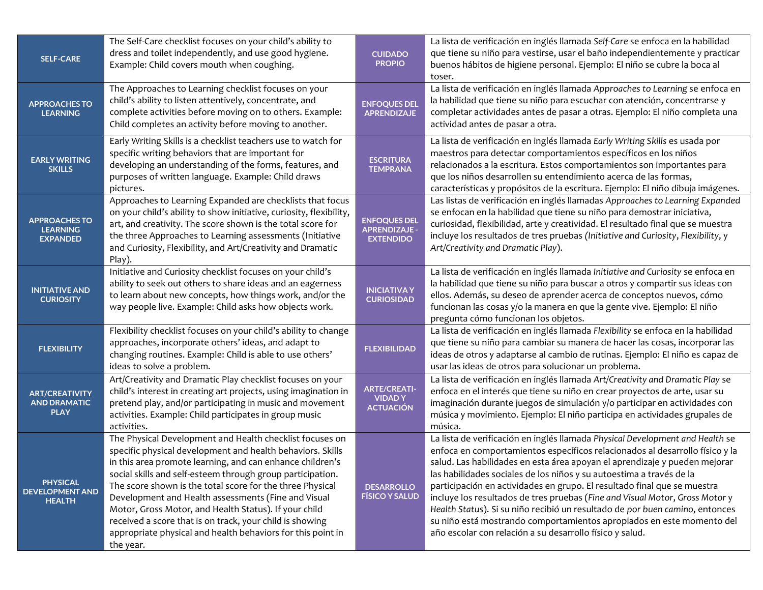| <b>SELF-CARE</b>                                            | The Self-Care checklist focuses on your child's ability to<br>dress and toilet independently, and use good hygiene.<br>Example: Child covers mouth when coughing.                                                                                                                                                                                                                                                                                                                                                                                                      | <b>CUIDADO</b><br><b>PROPIO</b>                                 | La lista de verificación en inglés llamada Self-Care se enfoca en la habilidad<br>que tiene su niño para vestirse, usar el baño independientemente y practicar<br>buenos hábitos de higiene personal. Ejemplo: El niño se cubre la boca al<br>toser.                                                                                                                                                                                                                                                                                                                                                                                                                                                 |
|-------------------------------------------------------------|------------------------------------------------------------------------------------------------------------------------------------------------------------------------------------------------------------------------------------------------------------------------------------------------------------------------------------------------------------------------------------------------------------------------------------------------------------------------------------------------------------------------------------------------------------------------|-----------------------------------------------------------------|------------------------------------------------------------------------------------------------------------------------------------------------------------------------------------------------------------------------------------------------------------------------------------------------------------------------------------------------------------------------------------------------------------------------------------------------------------------------------------------------------------------------------------------------------------------------------------------------------------------------------------------------------------------------------------------------------|
| <b>APPROACHES TO</b><br><b>LEARNING</b>                     | The Approaches to Learning checklist focuses on your<br>child's ability to listen attentively, concentrate, and<br>complete activities before moving on to others. Example:<br>Child completes an activity before moving to another.                                                                                                                                                                                                                                                                                                                                   | <b>ENFOQUES DEL</b><br><b>APRENDIZAJE</b>                       | La lista de verificación en inglés llamada Approaches to Learning se enfoca en<br>la habilidad que tiene su niño para escuchar con atención, concentrarse y<br>completar actividades antes de pasar a otras. Ejemplo: El niño completa una<br>actividad antes de pasar a otra.                                                                                                                                                                                                                                                                                                                                                                                                                       |
| <b>EARLY WRITING</b><br><b>SKILLS</b>                       | Early Writing Skills is a checklist teachers use to watch for<br>specific writing behaviors that are important for<br>developing an understanding of the forms, features, and<br>purposes of written language. Example: Child draws<br>pictures.                                                                                                                                                                                                                                                                                                                       | <b>ESCRITURA</b><br><b>TEMPRANA</b>                             | La lista de verificación en inglés llamada Early Writing Skills es usada por<br>maestros para detectar comportamientos específicos en los niños<br>relacionados a la escritura. Estos comportamientos son importantes para<br>que los niños desarrollen su entendimiento acerca de las formas,<br>características y propósitos de la escritura. Ejemplo: El niño dibuja imágenes.                                                                                                                                                                                                                                                                                                                    |
| <b>APPROACHES TO</b><br><b>LEARNING</b><br><b>EXPANDED</b>  | Approaches to Learning Expanded are checklists that focus<br>on your child's ability to show initiative, curiosity, flexibility,<br>art, and creativity. The score shown is the total score for<br>the three Approaches to Learning assessments (Initiative<br>and Curiosity, Flexibility, and Art/Creativity and Dramatic<br>Play).                                                                                                                                                                                                                                   | <b>ENFOQUES DEL</b><br><b>APRENDIZAJE -</b><br><b>EXTENDIDO</b> | Las listas de verificación en inglés llamadas Approaches to Learning Expanded<br>se enfocan en la habilidad que tiene su niño para demostrar iniciativa,<br>curiosidad, flexibilidad, arte y creatividad. El resultado final que se muestra<br>incluye los resultados de tres pruebas (Initiative and Curiosity, Flexibility, y<br>Art/Creativity and Dramatic Play).                                                                                                                                                                                                                                                                                                                                |
| <b>INITIATIVE AND</b><br><b>CURIOSITY</b>                   | Initiative and Curiosity checklist focuses on your child's<br>ability to seek out others to share ideas and an eagerness<br>to learn about new concepts, how things work, and/or the<br>way people live. Example: Child asks how objects work.                                                                                                                                                                                                                                                                                                                         | <b>INICIATIVA Y</b><br><b>CURIOSIDAD</b>                        | La lista de verificación en inglés llamada Initiative and Curiosity se enfoca en<br>la habilidad que tiene su niño para buscar a otros y compartir sus ideas con<br>ellos. Además, su deseo de aprender acerca de conceptos nuevos, cómo<br>funcionan las cosas y/o la manera en que la gente vive. Ejemplo: El niño<br>pregunta cómo funcionan los objetos.                                                                                                                                                                                                                                                                                                                                         |
| <b>FLEXIBILITY</b>                                          | Flexibility checklist focuses on your child's ability to change<br>approaches, incorporate others' ideas, and adapt to<br>changing routines. Example: Child is able to use others'<br>ideas to solve a problem.                                                                                                                                                                                                                                                                                                                                                        | <b>FLEXIBILIDAD</b>                                             | La lista de verificación en inglés llamada Flexibility se enfoca en la habilidad<br>que tiene su niño para cambiar su manera de hacer las cosas, incorporar las<br>ideas de otros y adaptarse al cambio de rutinas. Ejemplo: El niño es capaz de<br>usar las ideas de otros para solucionar un problema.                                                                                                                                                                                                                                                                                                                                                                                             |
| <b>ART/CREATIVITY</b><br><b>AND DRAMATIC</b><br><b>PLAY</b> | Art/Creativity and Dramatic Play checklist focuses on your<br>child's interest in creating art projects, using imagination in<br>pretend play, and/or participating in music and movement<br>activities. Example: Child participates in group music<br>activities.                                                                                                                                                                                                                                                                                                     | <b>ARTE/CREATI-</b><br><b>VIDADY</b><br><b>ACTUACIÓN</b>        | La lista de verificación en inglés llamada Art/Creativity and Dramatic Play se<br>enfoca en el interés que tiene su niño en crear proyectos de arte, usar su<br>imaginación durante juegos de simulación y/o participar en actividades con<br>música y movimiento. Ejemplo: El niño participa en actividades grupales de<br>música.                                                                                                                                                                                                                                                                                                                                                                  |
| <b>PHYSICAL</b><br><b>DEVELOPMENT AND</b><br><b>HEALTH</b>  | The Physical Development and Health checklist focuses on<br>specific physical development and health behaviors. Skills<br>in this area promote learning, and can enhance children's<br>social skills and self-esteem through group participation.<br>The score shown is the total score for the three Physical<br>Development and Health assessments (Fine and Visual<br>Motor, Gross Motor, and Health Status). If your child<br>received a score that is on track, your child is showing<br>appropriate physical and health behaviors for this point in<br>the year. | <b>DESARROLLO</b><br><b>FÍSICO Y SALUD</b>                      | La lista de verificación en inglés llamada Physical Development and Health se<br>enfoca en comportamientos específicos relacionados al desarrollo físico y la<br>salud. Las habilidades en esta área apoyan el aprendizaje y pueden mejorar<br>las habilidades sociales de los niños y su autoestima a través de la<br>participación en actividades en grupo. El resultado final que se muestra<br>incluye los resultados de tres pruebas (Fine and Visual Motor, Gross Motor y<br>Health Status). Si su niño recibió un resultado de por buen camino, entonces<br>su niño está mostrando comportamientos apropiados en este momento del<br>año escolar con relación a su desarrollo físico y salud. |